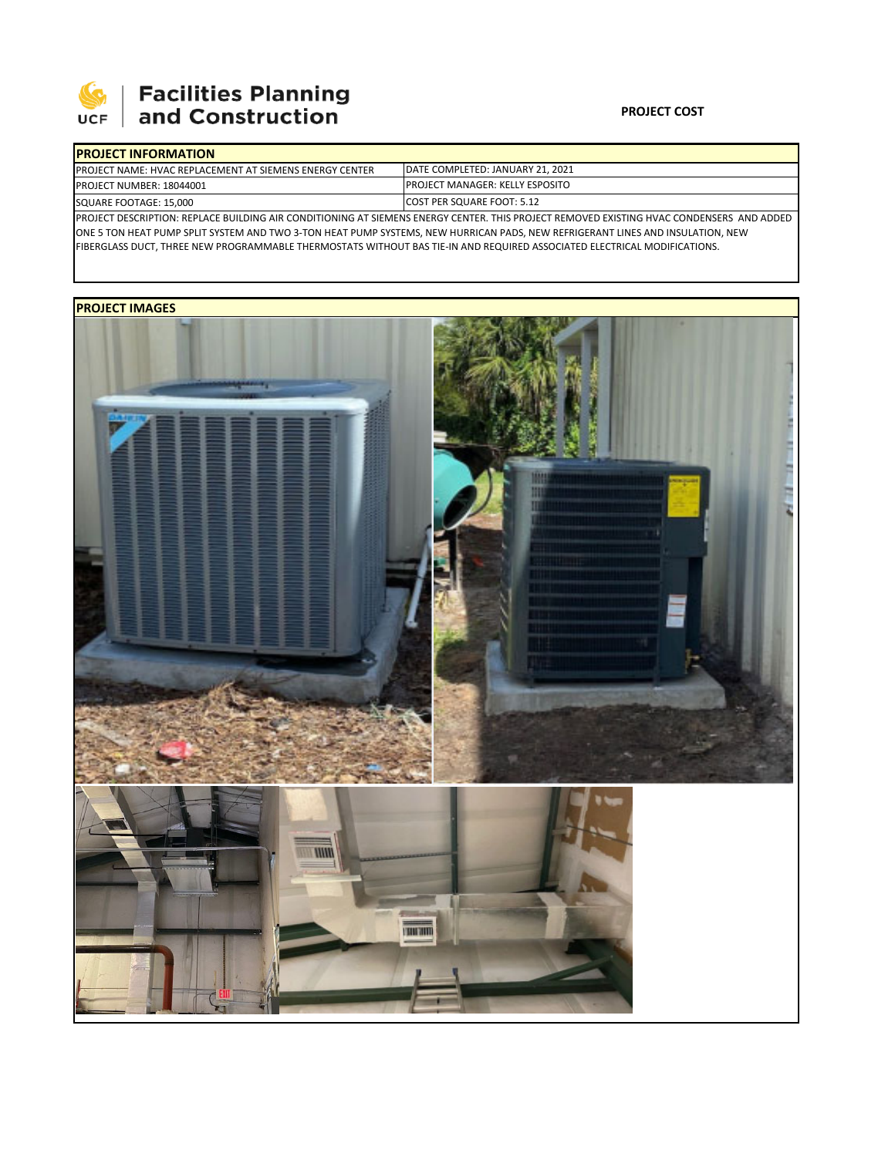

# **Facilities Planning**<br>and Construction

### **PROJECT COST**

| <b>IPROJECT INFORMATION</b>                                     |                                                                                                                                           |
|-----------------------------------------------------------------|-------------------------------------------------------------------------------------------------------------------------------------------|
| <b>IPROJECT NAME: HVAC REPLACEMENT AT SIEMENS ENERGY CENTER</b> | DATE COMPLETED: JANUARY 21, 2021                                                                                                          |
| <b>IPROJECT NUMBER: 18044001</b>                                | <b>IPROJECT MANAGER: KELLY ESPOSITO</b>                                                                                                   |
| SQUARE FOOTAGE: 15,000                                          | <b>ICOST PER SQUARE FOOT: 5.12</b>                                                                                                        |
|                                                                 | IPROJECT DESCRIPTION: REPLACE BUILDING AIR CONDITIONING AT SIEMENS ENERGY CENTER. THIS PROJECT REMOVED EXISTING HVAC CONDENSERS AND ADDED |

ONE 5 TON HEAT PUMP SPLIT SYSTEM AND TWO 3‐TON HEAT PUMP SYSTEMS, NEW HURRICAN PADS, NEW REFRIGERANT LINES AND INSULATION, NEW FIBERGLASS DUCT, THREE NEW PROGRAMMABLE THERMOSTATS WITHOUT BAS TIE‐IN AND REQUIRED ASSOCIATED ELECTRICAL MODIFICATIONS.

## **PROJECT IMAGES**